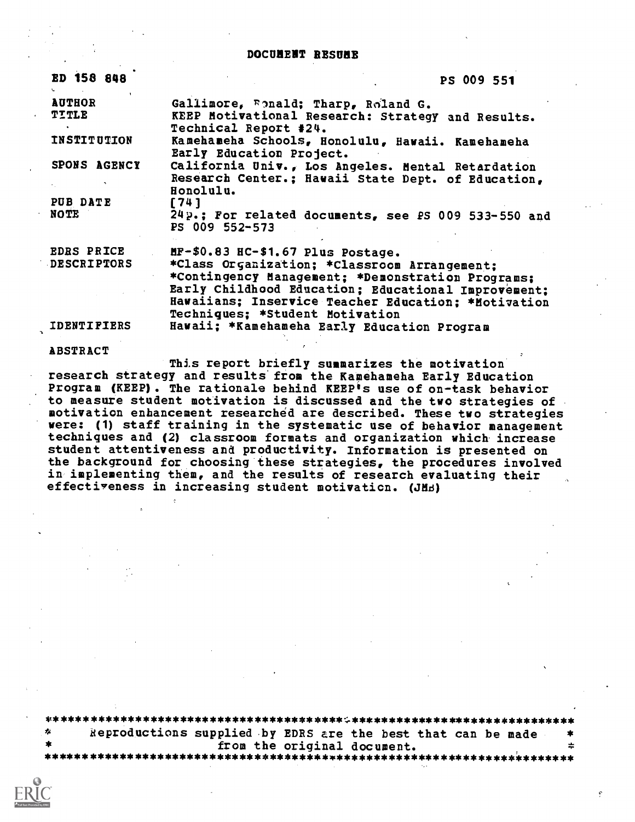DOCUMENT RESUME

| ED 158 848                              | PS 009 551                                                                                                                                                                                                                                                                              |
|-----------------------------------------|-----------------------------------------------------------------------------------------------------------------------------------------------------------------------------------------------------------------------------------------------------------------------------------------|
| <b>AUTHOR</b><br><b>TITLE</b>           | Gallimore, Epnald; Tharp, Roland G.<br>KEEP Motivational Research: Strategy and Results.<br>Technical Report #24.                                                                                                                                                                       |
| <b>INSTITUTION</b>                      | Kamehameha Schools, Honolulu, Hawaii. Kamehameha<br>Early Education Project.                                                                                                                                                                                                            |
| SPONS AGENCY                            | California Univ., Los Angeles. Mental Retardation<br>Research Center.; Hawaii State Dept. of Education,<br>Honolulu.                                                                                                                                                                    |
| PUB DATE<br>NOTE                        | [741]<br>24p.: For related documents, see PS 009 533-550 and<br>PS 009 552-573                                                                                                                                                                                                          |
| <b>EDRS PRICE</b><br><b>DESCRIPTORS</b> | MF-\$0.83 HC-\$1.67 Plus Postage.<br>*Class Organization; *Classroom Arrangement;<br>*Contingency Management; *Demonstration Programs;<br>Early Childhood Education; Educational Improvement;<br>Hawaiians; Inservice Teacher Education; *Motivation<br>Techniques; *Student Motivation |
| <b>IDENTIFIERS</b>                      | Hawaii: *Kamehameha Early Education Program                                                                                                                                                                                                                                             |

### ABSTRACT

This report briefly summarizes the motivation research strategy and results from the Kamehameha Early Education Program (KEEP). The rationale behind KEEP's use of on-task behavior to measure student motivation is discussed and the two strategies of motivation enhancement researched are described. These two strategies were: (1) staff training in the systematic use of behavior management techniques and (2) classroom formats and organization which increase student attentiveness and productivity. Information is presented on the background for choosing these strategies, the procedures involved in implementing them, and the results of research evaluating their effectiveness in increasing student motivation. (JMB)

\*\*\*\*\*\*\*\*\*\*\*\*\*\*\*\*\*\*\*\*\*\*\*\*\*\*\*\*\*\*\*\*\*\*\*\*\*\*\*\*\*\*\*\*\*\*\*\*\*\*\*\*\*\*\*\*\*\*\*\*\*\*\*\*\*\*\*\*\*\* ileproductions supplied by EDRS are the best that can be made \* from the original document. \*\*\*\*\*\*\*\*\*\*\*\*\*\*\*\*\*\*\*\*\*\*\*\*\*\*\*\*\*\*\*\*\*\*\*\*\*\*\*\*\*\*\*\*\*\*\*\*\*\*\*\*\*\*\*\*\*\*\*\*\*\*\*\*\*\*\*\*\*\*\*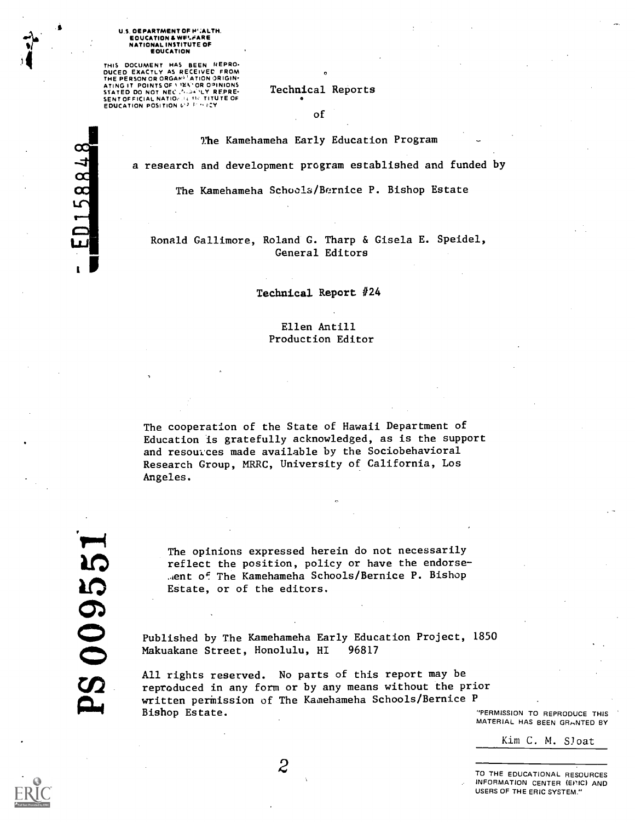#### U.S. DEPARTMENT OF H':ALTH. EDUCATION & WW-FARE NATIONAL INSTITUTE OF EDUCATION

THIS DOCUMENT HAS BEEN REPRO-DUCED EXACTLY AS RECEIVED FROM<br>THE PERSON OR ORGAN<sup>) (</sup>ATION ORIGIN) ATING IT POINTS OF LIEN' OR OPINIONS FREE FOR THE STATED ON A THE SENTING OF THE SENTING OF THE STATED OF THE S<br>SENT OFFICIAL NATIONAL TITUTE OF THE SENTING POSITION OF THE SENTING OF THE SENTING OF THE SENTING OF THE SENT

Technical Reports

0

of

The Kamehameha Early Education Program

a research and development program established and funded by

The Kamehameha Schools/Bernice P. Bishop Estate

Ronald Gallimore, Roland G. Tharp & Gisela E. Speidel, General Editors

Technical Report #24

Ellen Antill Production Editor

The cooperation of the State of Hawaii Department of Education is gratefully acknowledged, as is the support and resources made available by the Sociobehavioral Research Group, MRRC, University of California, Los Angeles.

588 L

The opinions expressed herein do not necessarily reflect the position, policy or have the endorse ..gent of The Kamehameha Schools/Bernice P. Bishop Estate, or of the editors.

Published by The Kamehameha Early Education Project, 1850 Makuakane Street, Honolulu, HI 96817

All rights reserved. No parts of this report may be reproduced in any form or by any means without the prior written permission of The Kamehameha Schools/Bernice P Bishop Estate. The extent of the extent of the extent of the extent of the extent of the extent of the extent of the extent of the extent of the extent of the extent of the extent of the extent of the extent of the extent

MATERIAL HAS BEEN GRANTED BY

Kim C. M. Sloat

TO THE EDUCATIONAL RESOURCES INFORMATION CENTER (EPIC) AND USERS OF THE ERIC SYSTEM."

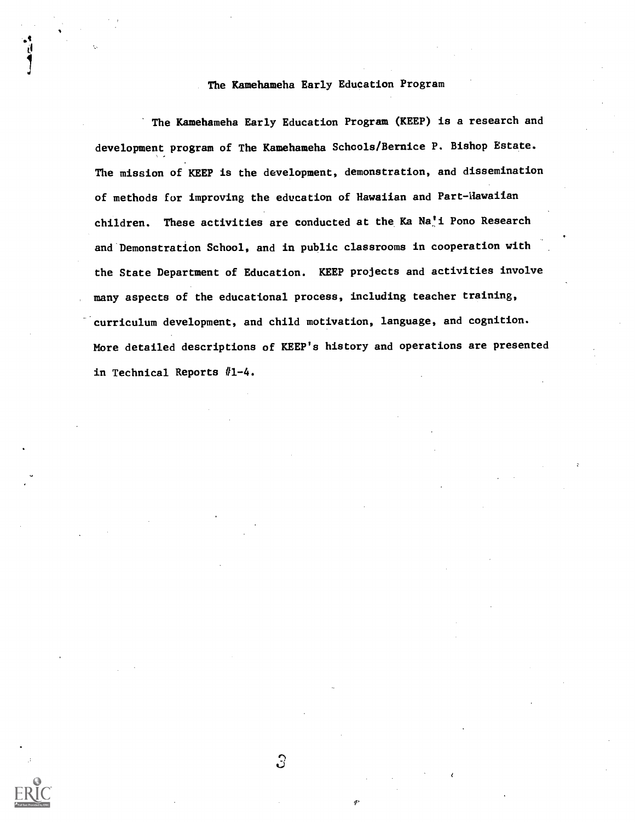## The Kamehameha Early Education Program

The Kamehameha Early Education Program (KEEP) is a research and development program of The Kamehameha Schools/Bernice P. Bishop Estate. The mission of KEEP is the development, demonstration, and dissemination of methods for improving the education of Hawaiian and Part-Hawaiian children. These activities are conducted at the Ka Na'i Pono Research and Demonstration School, and in public classrooms in cooperation with the State Department of Education. KEEP projects and activities involve many aspects of the educational process, including teacher training, curriculum development, and child motivation, language, and cognition. More detailed descriptions of KEEP's history and operations are presented in Technical Reports  $#1-4$ .

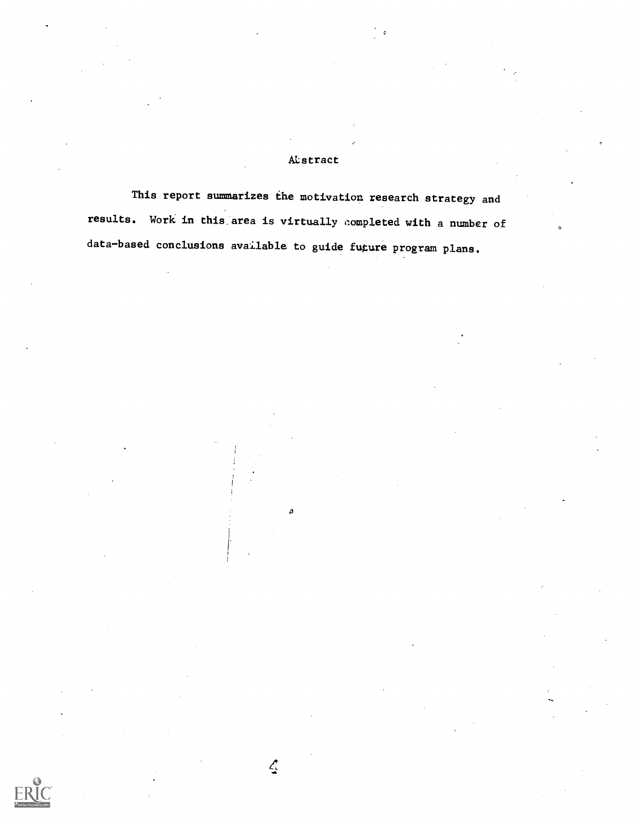# **A**Cstract

This report summarizes the motivation research strategy and results. Work in this area is virtually completed with a number of data-based conclusions available to guide fugure program plans.

۵

 $\mathcal{L}$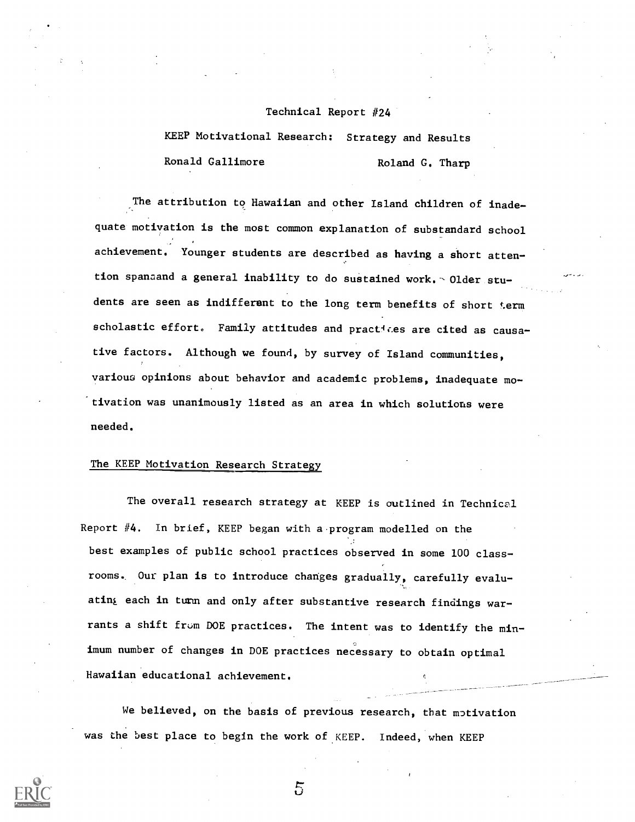### Technical Report #24

KEEP Motivational Research: Strategy and Results Ronald Gallimore Roland G. Tharp

The attribution to Hawaiian and other Island children of inadequate motivation is the most common explanation of substandard school achievement. Younger students are described as having a short attention spanaand a general inability to do sustained work. - Older students are seen as indifferent to the long term benefits of short term scholastic effort. Family attitudes and practices are cited as causative factors. Although we found, by survey of Island communities, various opinions about behavior and academic problems, inadequate mo- -tivation was unanimously listed as an area in which solutions were needed.

# The KEEP Motivation Research Strategy

The overall research strategy at KEEP is outlined in Technical Report #4. In brief, KEEP began with a program modelled on the best examples of public school practices observed in some 100 classrooms.. Our plan is to introduce changes gradually, carefully evaluating each in turm and only after substantive research findings warrants a shift from DOE practices. The intent was to identify the minimum number of changes in DOE practices necessary to obtain optimal Hawaiian educational achievement.

We believed, on the basis of previous research, that motivation was the best place to begin the work of KEEP. Indeed, when KEEP

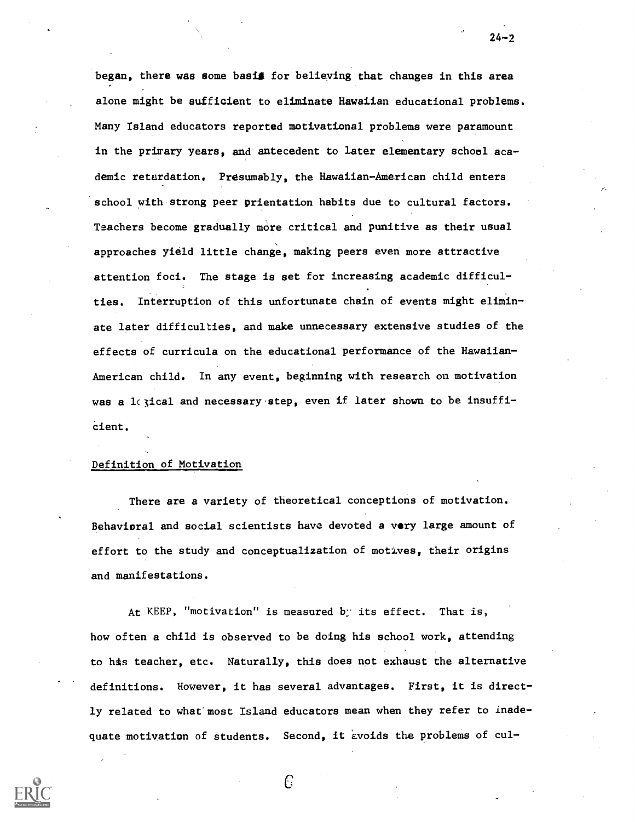began, there was some basis for believing that changes in this area alone might be sufficient to eliminate Hawaiian educational problems. Many Island educators reported motivational problems were paramount in the primary years, and antecedent to later elementary school academic retardation. Presumably, the Hawaiian-American child enters school with strong peer prientation habits due to cultural factors. Teachers become gradually more critical and punitive as their usual approaches yield little change, making peers even more attractive attention foci. The stage is set for increasing academic difficulties. Interruption of this unfortunate chain of events might eliminate later difficulties, and make unnecessary extensive studies of the effects of curricula on the educational performance of the Hawaiian-American child. In any event, beginning with research on motivation was a 1 (3ical and necessary step, even if later shown to be insuffi-Cient.

24-2

### Definition of Motivation

There are a variety of theoretical conceptions of motivation. Behavioral and social scientists have devoted a very large amount of effort to the study and conceptualization of motives, their origins and manifestations.

At KEEP, "motivation" is measured b; its effect. That is, how often a child is observed to be doing his school work, attending to his teacher, etc. Naturally, this does not exhaust the alternative definitions. However, it has several advantages. First, it is directly related to what'most Island educators mean when they refer to inadequate motivation of students. Second, it avoids the problems of cul-

C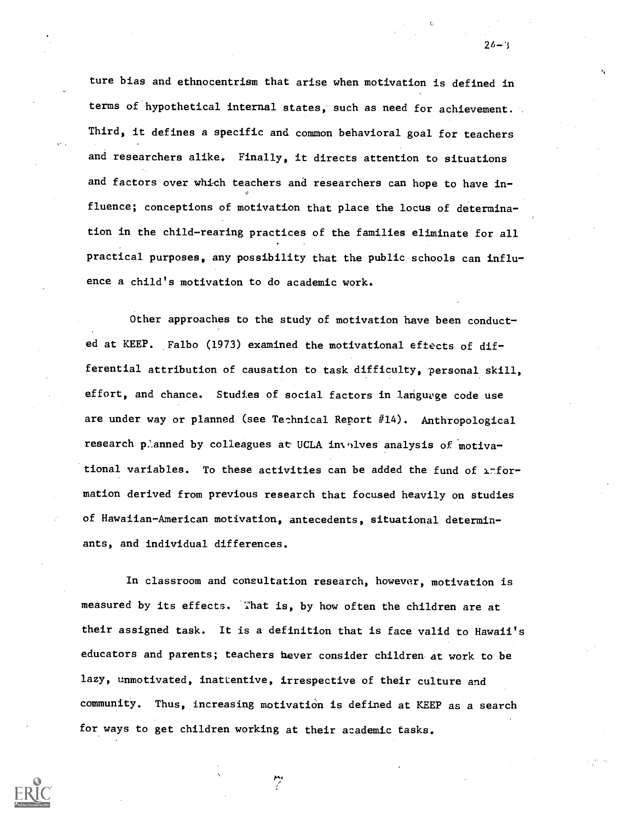ture bias and ethnocentrism that arise when motivation is defined in terms of hypothetical internal states, such as need for achievement. Third, it defines a specific and common behavioral goal for teachers and researchers alike. Finally, it directs attention to situations and factors over which teachers and researchers can hope to have influence; conceptions of motivation that place the locus of determination in the child-rearing practices of the families eliminate for all practical purposes, any possibility that the public schools can influence a child's motivation to do academic work.

Other approaches to the study of motivation have been conducted at KEEP. Falbo (1973) examined the motivational eftects of differential attribution of causation to task difficulty, personal skill, effort, and chance. Studies of social factors in language code use are under way or planned (see Technical Report #14). Anthropological research planned by colleagues at UCLA involves analysis of motivational variables. To these activities can be added the fund of  $\lambda^n$  formation derived from previous research that focused heavily on studies of Hawaiian-American motivation, antecedents, situational determinants, and individual differences.

In classroom and consultation research, however, motivation is measured by its effects. That is, by how often the children are at their assigned task. It is a definition that is face valid to Hawaii's educators and parents; teachers never consider children at work to be lazy, unmotivated, inattentive, irrespective of their culture and community. Thus, increasing motivation is defined at KEEP as a search for ways to get children working at their academic tasks.



 $26 - 3$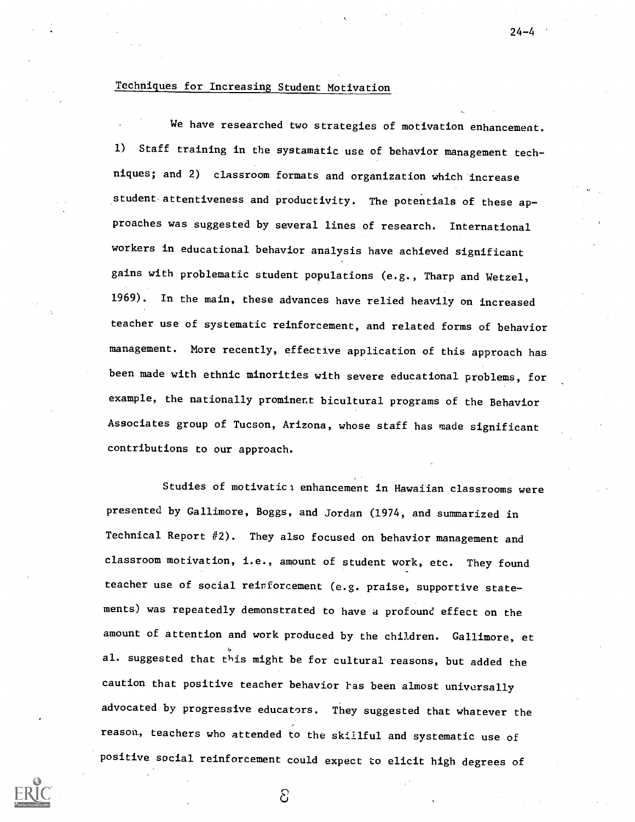# Techniques for Increasing Student Motivation

We have researched two strategies of motivation enhancement. 1) Staff training in the systamatic use of behavior management techniques; and 2) classroom formats and organization which increase student attentiveness and productivity. The potentials of these approaches was suggested by several lines of research. International workers in educational behavior analysis have achieved significant gains with problematic student populations (e.g., Tharp and Wetzel, 1969). In the main, these advances have relied heavily on increased teacher use of systematic reinforcement, and related forms of behavior management. More recently, effective application of this approach has been made with ethnic minorities with severe educational problems, for example, the nationally prominent bicultural programs of the Behavior Associates group of Tucson, Arizona, whose staff has made significant contributions to our approach.

Studies of motivatici enhancement in Hawaiian classrooms were presented by Gallimore, Boggs, and Jordan (1974, and summarized in Technical Report #2). They also focused on behavior management and classroom motivation, i.e., amount of student work, etc. They found teacher use of social reinforcement (e.g. praise, supportive statements) was repeatedly demonstrated to have a profound effect on the amount of attention and work produced by the children. Gallimore, et al. suggested that this might be for cultural reasons, but added the caution that positive teacher behavior has been almost universally advocated by progressive educators. They suggested that whatever the reason, teachers who attended to the skillful and systematic use of positive social reinforcement could expect to elicit high degrees of

වි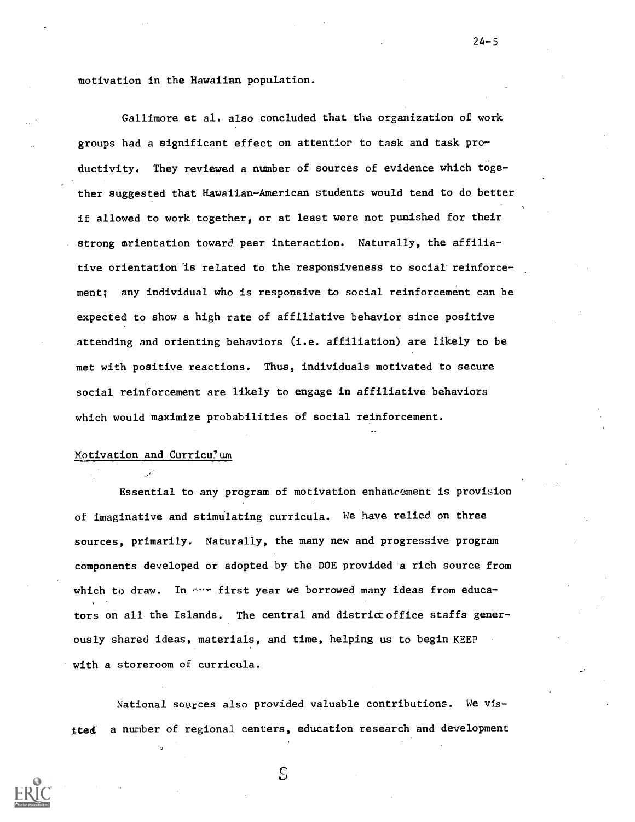motivation in the Hawaiian population.

Gallimore et al. also concluded that the organization of work groups had a significant effect on attentior to task and task productivity. They reviewed a number of sources of evidence which together suggested that Hawaiian-American students would tend to do better if allowed to work together, or at least were not punished for their strong orientation toward peer interaction. Naturally, the affiliative orientation is related to the responsiveness to social reinforcement; any individual who is responsive to social reinforcement can be expected to show a high rate of affiliative behavior since positive attending and orienting behaviors (i.e. affiliation) are likely to be met with positive reactions. Thus, individuals motivated to secure social reinforcement are likely to engage in affiliative behaviors which would maximize probabilities of social reinforcement.

 $24 - 5$ 

### Motivation and Curricu?um

Essential to any program of motivation enhancement is provision of imaginative and stimulating curricula. We have relied on three sources, primarily. Naturally, the many new and progressive program components developed or adopted by the DOE provided a rich source from which to draw. In  $\cdots$  first year we borrowed many ideas from educators on all the Islands. The central and district office staffs generously shared ideas, materials, and time, helping us to begin KEEP with a storeroom of curricula.

National sogrces also provided valuable contributions. We visited a number of regional centers, education research and development

 $\overline{S}$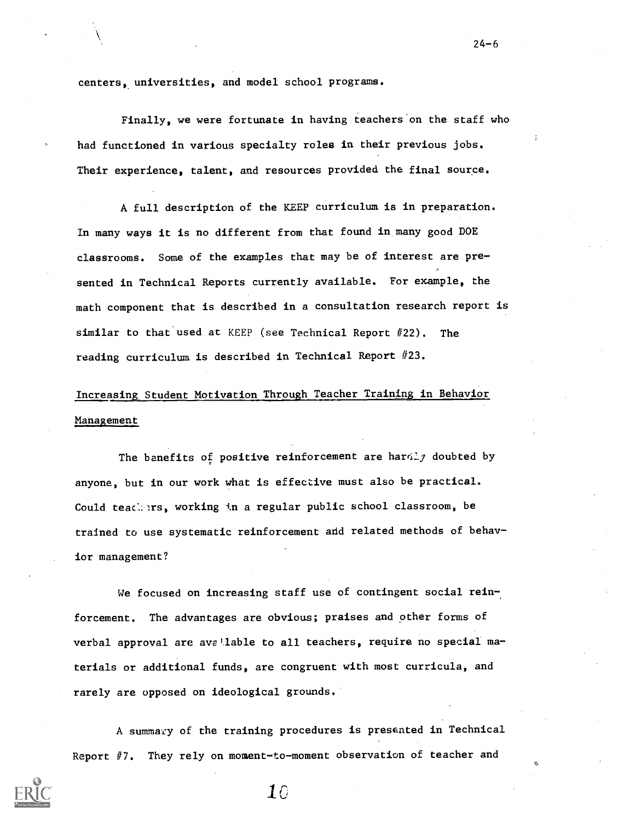centers, universities, and model school programs.

Finally, we were fortunate in having teachers on the staff who had functioned in various specialty roles in their previous jobs. Their experience, talent, and resources provided the final source.

A full description of the KEEP curriculum is in preparation. In many ways it is no different from that found in many good DOE classrooms. Some of the examples that may be of interest are presented in Technical Reports currently available. For example, the math component that is described in a consultation research report is similar to that used at KEEP (see Technical Report #22). The reading curriculum is described in Technical Report #23.

# Increasing Student Motivation Through Teacher Training in Behavior Management

The benefits of positive reinforcement are hardly doubted by anyone, but in our work what is effective must also be practical. Could teachers, working in a regular public school classroom, be trained to use systematic reinforcement add related methods of behavior management?

We focused on increasing staff use of contingent social reinforcement. The advantages are obvious; praises and other forms of verbal approval are avallable to all teachers, require no special materials or additional funds, are congruent with most curricula, and rarely are opposed on ideological grounds.

A summary of the training procedures is presented in Technical Report  $#7$ . They rely on moment-to-moment observation of teacher and



 $10\,$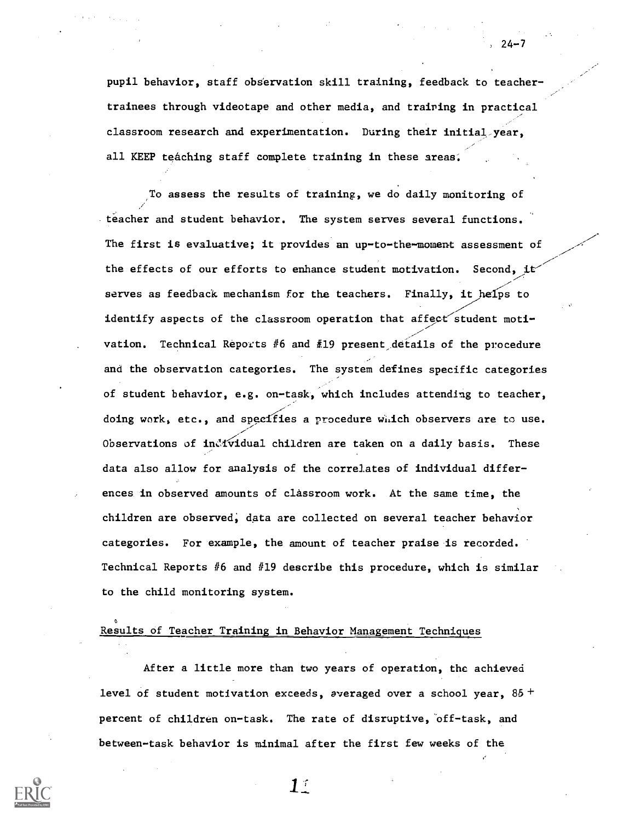pupil behavior, staff observation skill training, feedback to teachertrainees through videotape and other media, and training in practical classroom research and experimentation. During their initial year, all KEEP teaching staff complete training in these areas.

To assess the results of training, we do daily monitoring of teacher and student behavior. The system serves several functions. The first is evaluative; it provides an up-to-the-moment assessment of the effects of our efforts to enhance student motivation. Second, it serves as feedback mechanism for the teachers. Finally, it helps to identify aspects of the classroom operation that affect student motivation. Technical Reports #6 and #19 present details of the procedure and the observation categories. The system defines specific categories of student behavior, e.g. on-task, which includes attending to teacher, doing work, etc., and specifies a procedure which observers are to use. Observations of individual children are taken on a daily basis. These data also allow for analysis of the correlates of individual differences in observed amounts of classroom work. At the same time, the children are observed; data are collected on several teacher behavior categories. For example, the amount of teacher praise is recorded. Technical Reports  $#6$  and  $#19$  describe this procedure, which is similar to the child monitoring system.

# Results of Teacher Training in Behavior Management Techniques

After a little more than two years of operation, the achieved level of student motivation exceeds, averaged over a school year,  $85 +$ percent of children on-task. The rate of disruptive, off-task, and between-task behavior is minimal after the first few weeks of the



24-7

 $1^\circ$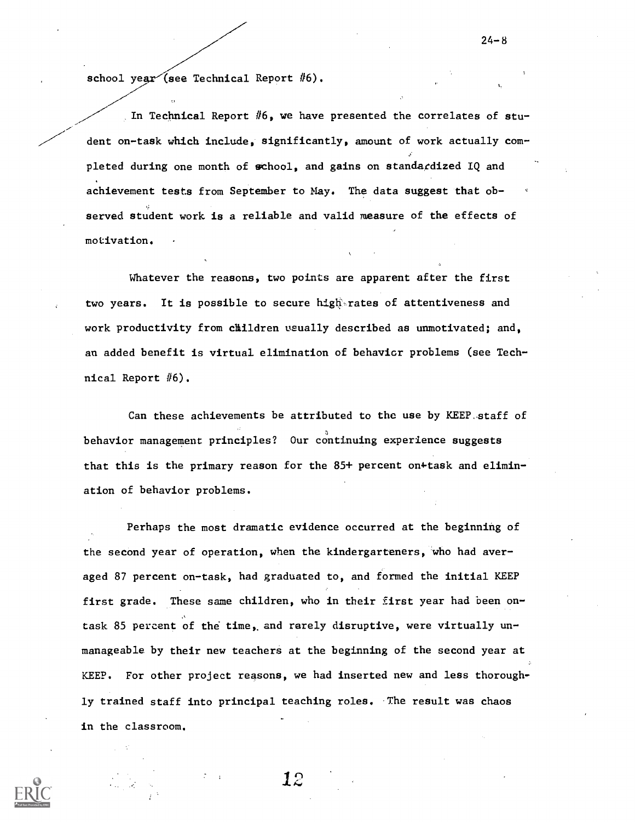school year (see Technical Report  $#6$ ).

In Technical Report  $#6$ , we have presented the correlates of student on-task which include, significantly, amount of work actually completed during one month of school, and gains on standardized IQ and achievement tests from September to May. The data suggest that observed student work is a reliable and valid measure of the effects of motivation.

Whatever the reasons, two points are apparent after the first two years. It is possible to secure hightrates of attentiveness and work productivity from children usually described as unmotivated; and, an added benefit is virtual elimination of behavior problems (see Technical Report #6).

Can these achievements be attributed to the use by KEEP.staff of behavior management principles? Our continuing experience suggests that this is the primary reason for the  $85+$  percent on+task and elimination of behavior problems.

Perhaps the most dramatic evidence occurred at the beginning of the second year of operation, when the kindergarteners, who had averaged 87 percent on-task, had graduated to, and formed the initial KEEP first grade. These same children, who in their first year had been on-  $\mathcal{A}$  , and the set of  $\mathcal{A}$ task 85 percent of the time, and rarely disruptive, were virtually unmanageable by their new teachers at the beginning of the second year at KEEP. For other project reasons, we had inserted new and less thoroughly trained staff into principal teaching roles. The result was chaos in the classroom.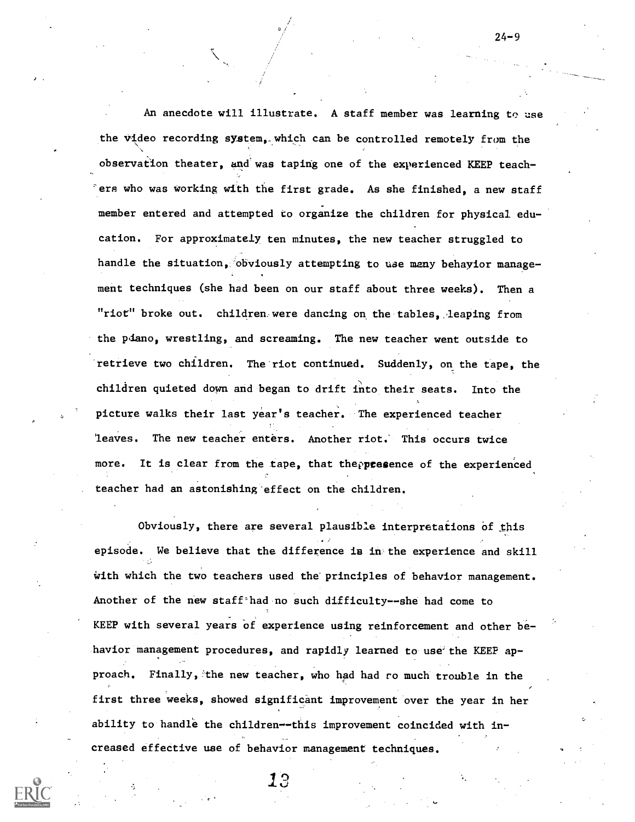An anecdote will illustrate. A staff member was learning to use the video recording system, which can be controlled remotely from the observation theater, and was taping one of the experienced KEEP teach- 'erg who was working with the first grade. As she finished, a new staff member entered and attempted to organize the children for physical education. For approximately ten minutes, the new teacher struggled to handle the situation, obviously attempting to use many behayior management techniques (she had been on our staff about three weeks). Then a "riot" broke out. children were dancing on the tables, leaping from the piano, wrestling, and screaming. The new teacher went outside to retrieve two children. The riot continued. Suddenly, on the tape, the children quieted down and began to drift into their seats. Into the picture walks their last year's teacher. The experienced teacher 'leaves. The new teacher enters. Another riot; This occurs twice more. It is clear from the tape, that the presence of the experienced teacher had an astonishing-effect on the children.

Obviously, there are several plausible interpretations of this episode. We believe that the difference is in the experience and skill with which the two teachers used the principles of behavior management. Another of the new staff<sup>-</sup>had no such difficulty--she had come to KEEP with several years of experience using reinforcement and other be havior management procedures, and rapidly learned to use the KEEP approach. Finally, the new teacher, who had had ro much trouble in the first three weeks, showed significant improvement over the year in her ability to handle the children--this improvement coincided with increased effective use of behavior management techniques.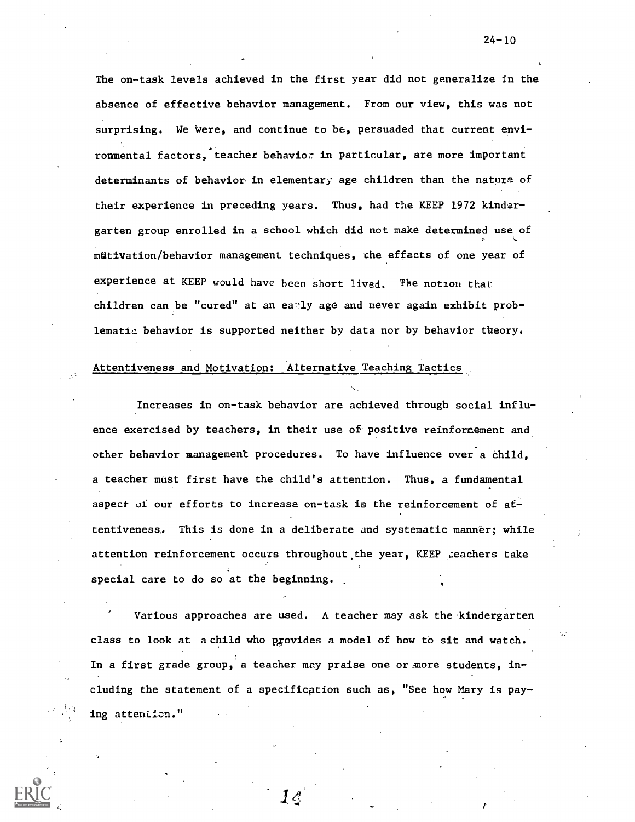The on-task levels achieved in the first year did not generalize in the absence of effective behavior management. From our view, this was not surprising. We were, and continue to be, persuaded that current environmental factors, teacher behavior in particular, are more important determinants of behavior, in elementary age children than the nature of their experience in preceding years. Thus, had the KEEP 1972 kindergarten group enrolled in a school which did not make determined use of mütivation/behavior management techniques, che effects of one year of experience at KEEP would have been short lived. The notion that children can be "cured" at an early age and never again exhibit problematic behavior is supported neither by data nor by behavior theory.

## Attentiveness and Motivation: Alternative Teaching Tactics

Increases in on-task behavior are achieved through social influence exercised by teachers, in their use of positive reinforcement and other behavior management procedures. To have influence over a child, a teacher must first have the child's attention. Thus, a fundamental aspect of our efforts to increase on-task is the reinforcement of attentiveness, This is done in a deliberate and systematic manner; while attention reinforcement occurs throughout the year, KEEP reachers take special care to do so at the beginning.

Various approaches are used. A teacher may ask the kindergarten class to look at a child who provides a model of how to sit and watch. In a first grade group, a teacher may praise one or more students, including the statement of a specification such as, "See how Mary is paying attention."

 $\mathcal{1}\mathcal{L}$ 

 $24 - 10$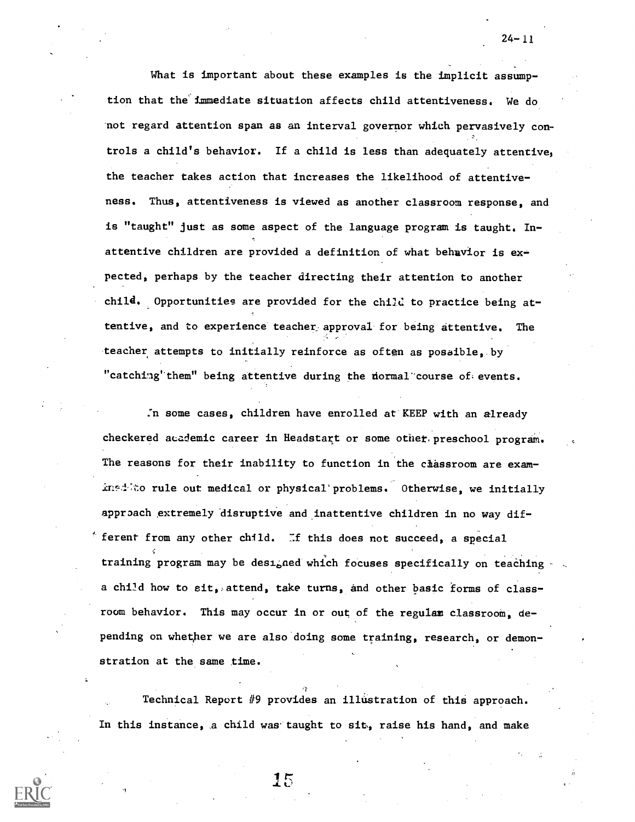What is important about these examples is the implicit assumption that the immediate situation affects child attentiveness. We do not regard attention span as an interval governor which pervasively controls a child's behavior. If a child is less than adequately attentive, the teacher takes action that increases the likelihood of attentiveness. Thus, attentiveness is viewed as another classroom response, and is "taught" just as some aspect of the language program is taught. Inattentive children are provided a definition of what behavior is expected, perhaps by the teacher directing their attention to another child. Opportunities are provided for the child to practice being attentive, and to experience teacher approval for being attentive. The teacher attempts to initially reinforce as often as posaible. by "catching" them" being attentive during the normal course of events.

:n some cases, children have enrolled at KEEP with an already checkered academic career in Headstart or some other, preschool program. The reasons for their inability to function in the chassroom are examined to rule out medical or physical problems. Otherwise, we initially approach extremely disruptive and inattentive children in no way dif  $f$  ferent from any other child. If this does not succeed, a special training program may be designed which focuses specifically on teaching a child how to  $\text{sit}_i$ , attend, take turns, and other basic forms of classroom behavior. This may occur in or out of the regulam classroom, depending on whether we are also doing some training, research, or demonstration at the same time.

Technical Report #9 provides an illustration of this approach. In this instance, a child was taught to sit, raise his hand, and make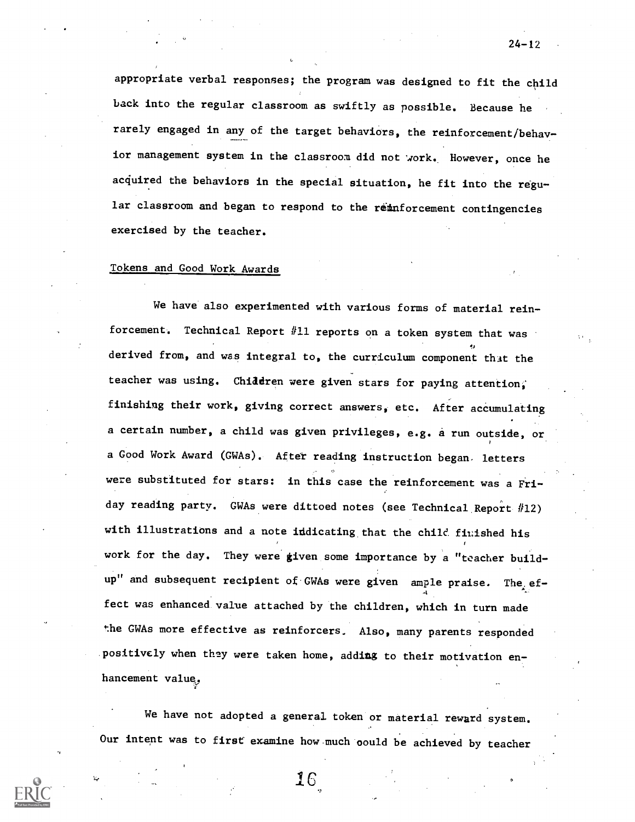appropriate verbal responses; the program was designed to fit the child back into the regular classroom as swiftly as possible. Because he rarely engaged in any of the target behaviors, the reinforcement/behavior management system in the classroom did not work. However, once he acquired the behaviors in the special situation, he fit into the regular classroom and began to respond to the reinforcement contingencies exercised by the teacher.

# Tokens and Good Work Awards

We have also experimented with various forms of material reinforcement. Technical Report #11 reports on a token system that was derived from, and was integral to, the curriculum component that the teacher was using. Chiddren were given stars for paying attention, finishing their work, giving correct answers, etc. After accumulating a certain number, a child was given privileges, e.g. a run outside, or a Good Work Award (GWAs). After reading instruction began. letters were substituted for stars: in this case the reinforcement was a Friday reading party. GWAs were dittoed notes (see Technical Report #12) with illustrations and a note iddicating that the child finished his work for the day. They were given some importance by a "teacher buildup" and subsequent recipient of GWAs were given ample praise. The effect was enhanced. value attached by the children, which in turn made the GWAs more effective as reinforcers. Also, many parents responded positively when they were taken home, adding to their motivation enhancement value,

We have not adopted a general token or material reward system. Our intent was to first examine how.much'oould be achieved by teacher

 $24 - 12$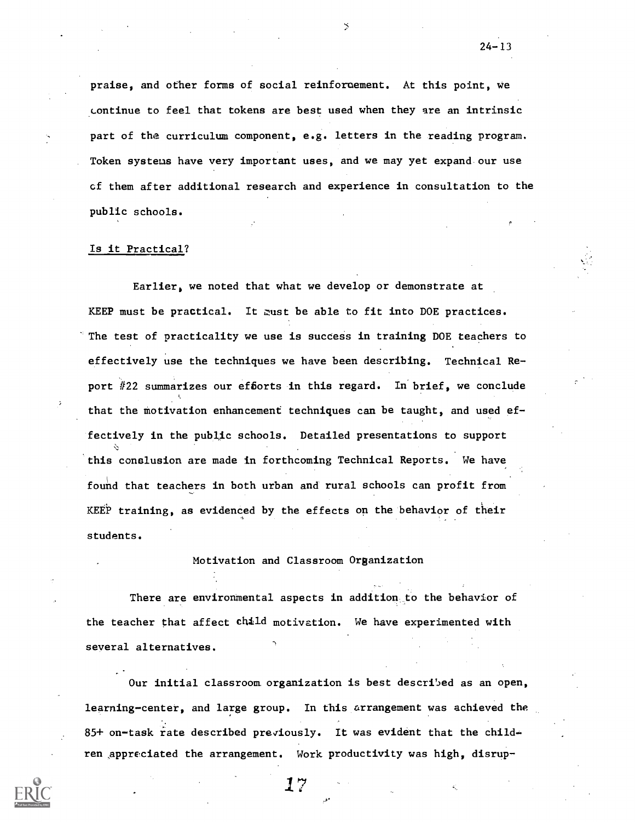praise, and other forms of social reinforcement. At this point, we continue to feel that tokens are best used when they are an intrinsic part of the curriculum component, e.g. letters in the reading program. Token systems have very important uses, and we may yet expand our use cf them after additional research and experience in consultation to the public schools.

### Is it Practical?

Earlier, we noted that what we develop or demonstrate at KEEP must be practical. It must be able to fit into DOE practices. The test of practicality we use is success in training DOE teachers to effectively use the techniques we have been describing. Technical Report #22 summarizes our efforts in this regard. In brief, we conclude that the motivation enhancement techniques can be taught, and used effectively in the public schools. Detailed presentations to support this conslusion are made in forthcoming Technical Reports. We have found that teachers in both urban and rural schools can profit from KEEP training, as evidenced by the effects on the behavior of their students.

## Motivation and Classroom Organization

There are environmental aspects in addition to the behavior of the teacher that affect child motivation. We have experimented with several alternatives.

Our initial classroom. organization is best described as an open, learning-center, and large group. In this arrangement was achieved the 85+ on-task rate described previously. It was evident that the children appreciated the arrangement. Work productivity was high, disrup-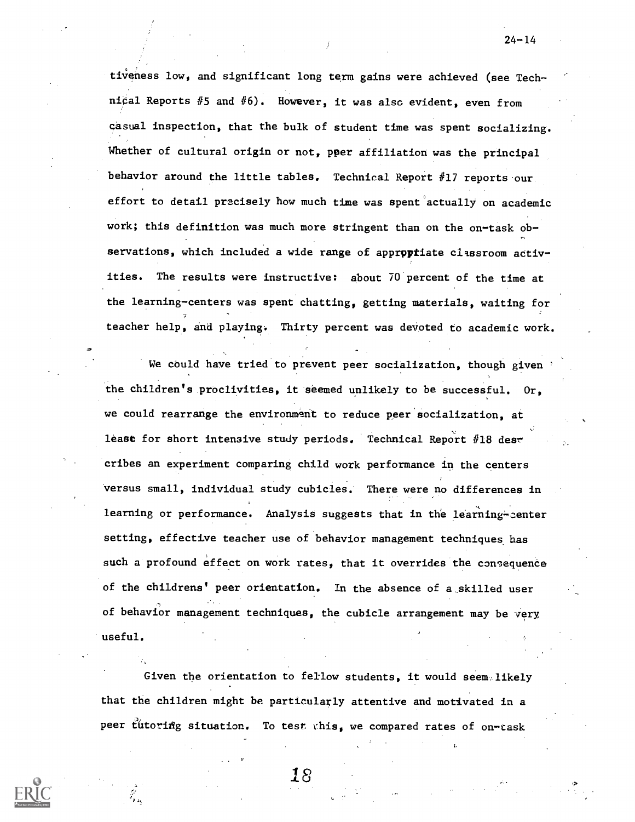tiveness low, and significant long term gains were achieved (see Technical Reports  $#5$  and  $#6$ ). However, it was also evident, even from casual inspection, that the bulk of student time was spent socializing. Whether of cultural origin or not, pper affiliation was the principal behavior around the little tables. Technical Report #17 reports our effort to detail precisely how much time was spent'actually on academic work; this definition was much more stringent than on the on-task observations, which included a wide range of appropriate classroom activities. The results were instructive: about 70 percent of the time at the learning-centers was spent chatting, getting materials, waiting for teacher help, and playing. Thirty percent was devoted to academic work.

We could have tried to prevent peer socialization, though given the children's proclivities, it seemed unlikely to be successful. Or, we could rearrange the environment to reduce peer socialization, at least for short intensive study periods. Technical Report #18 describes an experiment comparing child work performance in the centers Versus small, individual study cubicles.' There were no differences in learning or performance. Analysis suggests that in the learning-center setting, effective teacher use of behavior management techniques has such a profound effect on work rates, that it overrides the consequence of the childrens' peer orientation. In the absence of a skilled user of behavior management techniques, the cubicle arrangement may be very useful.

Given the orientation to fellow students, it would seem likely that the children might be particularly attentive and motivated in a peer tutoring situation. To test this, we compared rates of on-task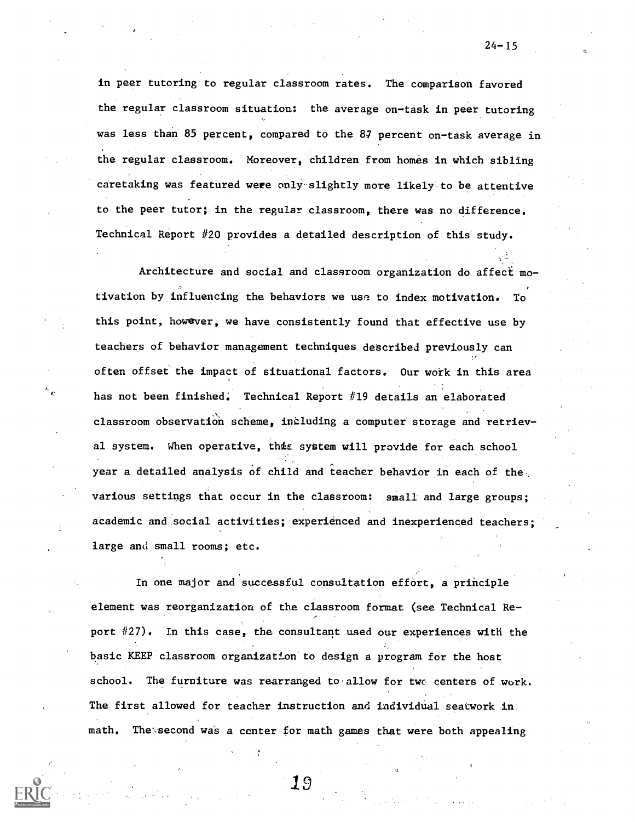in peer tutoring to regular classroom rates. The comparison favored the regular classroom situation: the average on-task in peer tutoring was less than 85 percent, compared to the 87 percent on-task average in the regular classroom. Moreover, children from homes in which sibling caretaking was featured were onlyslightly more likely to be attentive to the peer tutor; in the regular classroom, there was no difference. Technical Report 420 provides a detailed description of this study.

Architecture and social and classroom organization do affect motivation by influencing the behaViors we use to index motivation. To this point, however, we have consistently found that effective use by teachers of behavior management techniques described previously can often offset the impact of situational factors. Our work in this area has not been finished. Technical Report #19 details an elaborated classroom observation scheme, including a computer storage and retrieval system. When operative, this system will provide for each school year a detailed analysis of child and teacher behavior in each of the various settings that occur in the classroom: small and large groups; academic and social activities; experienced and inexperienced teachers; large and small rooms; etc.

In one major and successful consultation effort, a principle element was reorganization of the classroom format (see Technical Re- , port #27). In this case, the consultant used our experiences with the basic KEEP classroom organizaticn'to design a program for the host school. The furniture was rearranged to allow for two centers of work. The first allowed for teacher instruction and individual seatwork in math. The second was a center for math games that were both appealing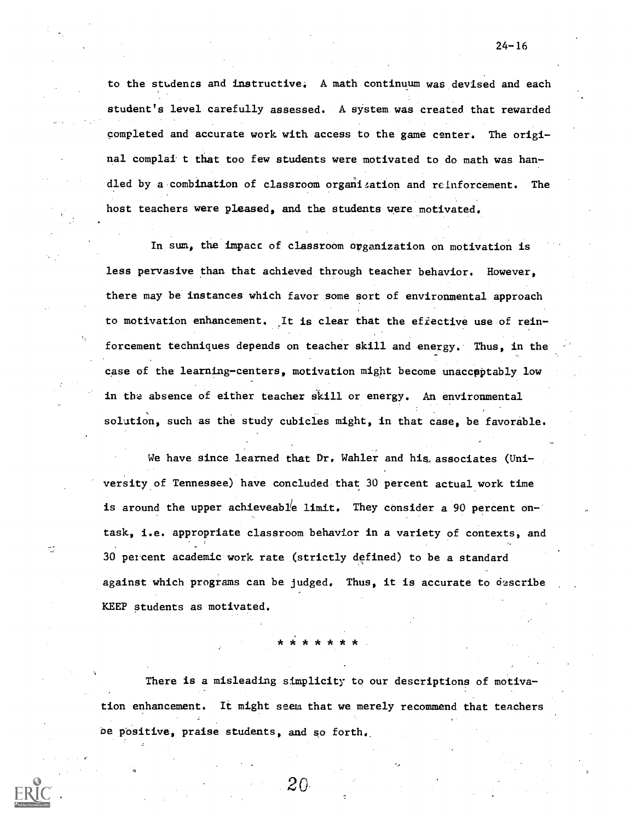to the studencs and instructive: A math continuum was devised and each student's level carefully assessed. A system was created that rewarded completed and accurate work with access to the game center. The original complai t that too few students were motivated to do math was handled by a combination of classroom organization and reinforcement. The host teachers were pleased, and the students were motivated.

In sum, the impact of classroom organization on motivation is less pervasive than that achieved through teacher behavior. However, there may be' instances which favor some sort of environmental approach to motivation enhancement. It is clear that the efiective use of reinforcement techniques depends on teacher skill and energy. Thus, in the case of the learning-centers, motivation might become unacceptably low in the absence of either teacher skill or energy. An environmental solution, such as the study cubicles might, in that case, be favorable.

We have since learned that Dr. Wahler and his associates (Universityof Tennessee) have concluded that 30 percent actual work time is around the upper achieveable limit. They consider a 90 percent ontask, i.e. appropriate classroom behavior in a variety of contexts, and 30 percent academic work rate (strictly defined) to be a standard against which programs can be judged. Thus, it is accurate to describe KEEP students as motivated.

\* \* \* \* \* \* \*

There is a misleading simplicity to our descriptions of motivation enhancement. It might seem that we merely recommend that teachers be positive, praise students, and so forth..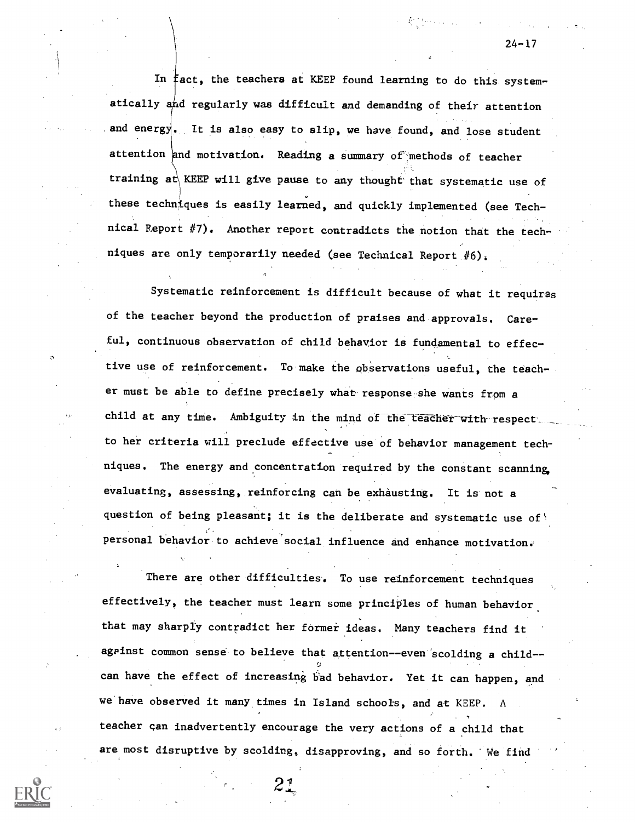In fact, the teachers at KEEP found learning to do this systematically and regularly was difficult and demanding of their attention and energy. It is also easy to  $\text{slip}$ , we have found, and lose student attention and motivation. Reading a summary of methods of teacher training at KEEP will give pause to any thought that systematic use of these techniques is easily learned, and quickly implemented (see Technical Report #7). Another report contradicts the notion that the techniques are only temporarily needed (see Technical Report #6):

 $\sigma$  . The set of  $\sigma$ 

Systematic reinforcement is difficult because of what it requires of the teacher beyond the production of praises and approvals. Careful, continuous observation of child behavior is fundamental to effective use of reinforcement. To make the observations useful, the teacher must be able to define precisely what response she wants from a child at any time. Ambiguity in the mind of the teacher with respect. to her criteria will preclude effective use of behavior management techniques. The energy and concentration required by the constant scanning, evaluating, assessing, reinforcing can be exhausting. It is not a question of being pleasant; it is the deliberate and systematic use of personal behavior to achieve social influence and enhance motivation.

There are other difficulties. To use reinforcement techniques effectively, the teacher must learn some principles of human behavior that may sharply contradict her former ideas. Many teachers find it against common sense to believe that attention--even scolding a child-ij can have the effect of increasing bad behavior. Yet it can happen, and we'have observed it many times in Island schools, and at KEEP. A teacher can inadvertently encourage the very actions of a child that are most disruptive by scolding, disapproving, and so forth. We find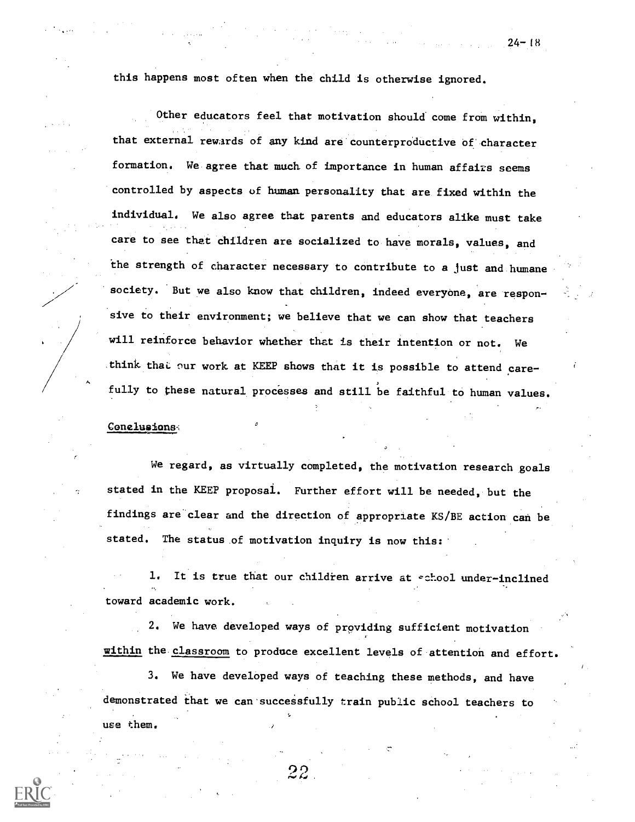this happens most often when the child is otherwise ignored.

Other educators feel that motivation should come from within, that external rewards of any kind are counterproductive of character formation. We.agree that much of importance in human affairs seems controlled by aspects of human personality that are fixed within the individual. We also agree that parents and educators alike must take care to see that children are socialized to have morals, values, and the strength of character necessary to contribute to a just and humane society. But we also know that children, indeed everyone, are responsive to their environment; we believe that we can show that teachers will reinforce behavior whether that is their intention or not. We think that our work at KEEP shows that it is possible to attend carefully to these natural processes and still be faithful to human values.

### Conelusions,

We regard, as virtually completed, the motivation research goals stated in the KEEP proposal. Further effort will be needed, but the findings are clear and the direction of appropriate KS/BE action can be stated. The status of motivation inquiry is now this:

1. It is true that our children arrive at school under-inclined toward academic work.

2. We have developed ways of providing sufficient motivation within the. classroom to produce excellent levels of attention and effort.

3. We have developed ways of teaching these methods, and have demonstrated that we can-successfully train public school teachers to use them.

 $24 - 18$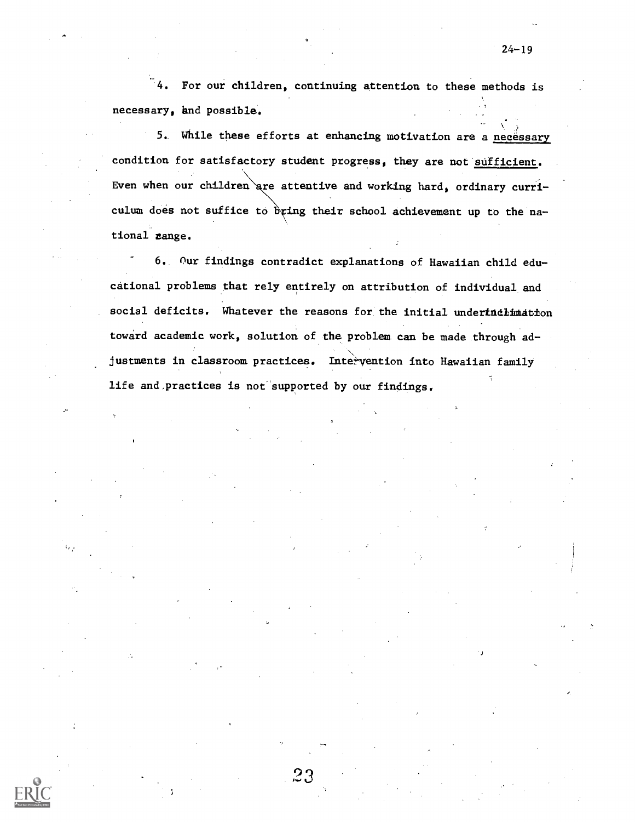4. For our children, continuing attention to these methods is necessary, and possible.

5.. While these efforts at enhancing motivation are a necessary condition for satisfactory student progress, they are not sufficient. Even when our children are attentive and working hard, ordinary curriculum does not suffice to bring their school achievement up to the national zange.

6. Our findings contradict explanations of Hawaiian child educational problems that rely entirely on attribution of individual and social deficits. Whatever the reasons for the initial underindimation toward academic work, solution of the problem can be made through ad-  $\sum_{i=1}^{n}$ justments in classroom practices. Intervention into Hawaiian family life and practices is not supported by our findings.